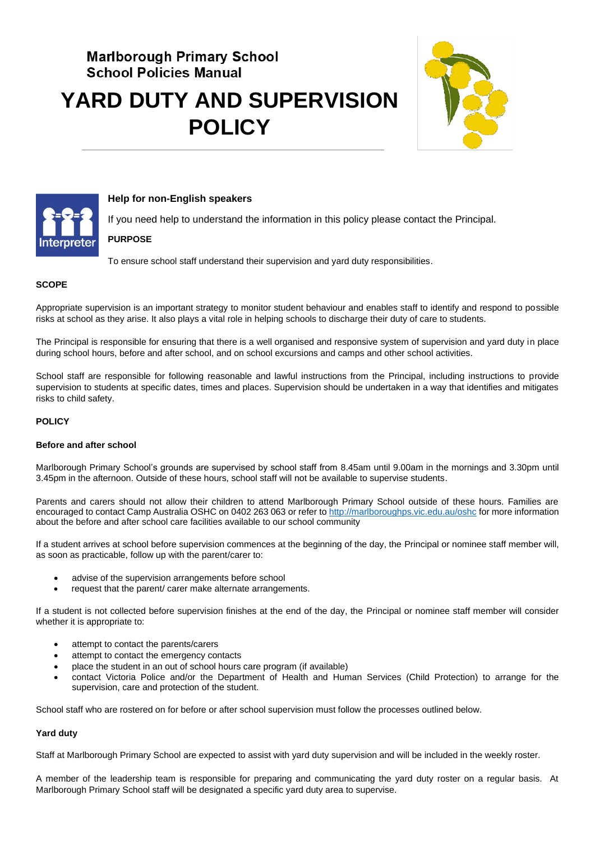# **Marlborough Primary School School Policies Manual YARD DUTY AND SUPERVISION POLICY**





## **Help for non-English speakers**

If you need help to understand the information in this policy please contact the Principal.

## **PURPOSE**

To ensure school staff understand their supervision and yard duty responsibilities.

## **SCOPE**

Appropriate supervision is an important strategy to monitor student behaviour and enables staff to identify and respond to possible risks at school as they arise. It also plays a vital role in helping schools to discharge their duty of care to students.

The Principal is responsible for ensuring that there is a well organised and responsive system of supervision and yard duty in place during school hours, before and after school, and on school excursions and camps and other school activities.

School staff are responsible for following reasonable and lawful instructions from the Principal, including instructions to provide supervision to students at specific dates, times and places. Supervision should be undertaken in a way that identifies and mitigates risks to child safety.

### **POLICY**

#### **Before and after school**

Marlborough Primary School's grounds are supervised by school staff from 8.45am until 9.00am in the mornings and 3.30pm until 3.45pm in the afternoon. Outside of these hours, school staff will not be available to supervise students.

Parents and carers should not allow their children to attend Marlborough Primary School outside of these hours. Families are encouraged to contact Camp Australia OSHC on 0402 263 063 or refer t[o http://marlboroughps.vic.edu.au/oshc](http://marlboroughps.vic.edu.au/oshc) for more information about the before and after school care facilities available to our school community

If a student arrives at school before supervision commences at the beginning of the day, the Principal or nominee staff member will, as soon as practicable, follow up with the parent/carer to:

- advise of the supervision arrangements before school
- request that the parent/ carer make alternate arrangements.

If a student is not collected before supervision finishes at the end of the day, the Principal or nominee staff member will consider whether it is appropriate to:

- attempt to contact the parents/carers
- attempt to contact the emergency contacts
- place the student in an out of school hours care program (if available)
- contact Victoria Police and/or the Department of Health and Human Services (Child Protection) to arrange for the supervision, care and protection of the student.

School staff who are rostered on for before or after school supervision must follow the processes outlined below.

#### **Yard duty**

Staff at Marlborough Primary School are expected to assist with yard duty supervision and will be included in the weekly roster.

A member of the leadership team is responsible for preparing and communicating the yard duty roster on a regular basis. At Marlborough Primary School staff will be designated a specific yard duty area to supervise.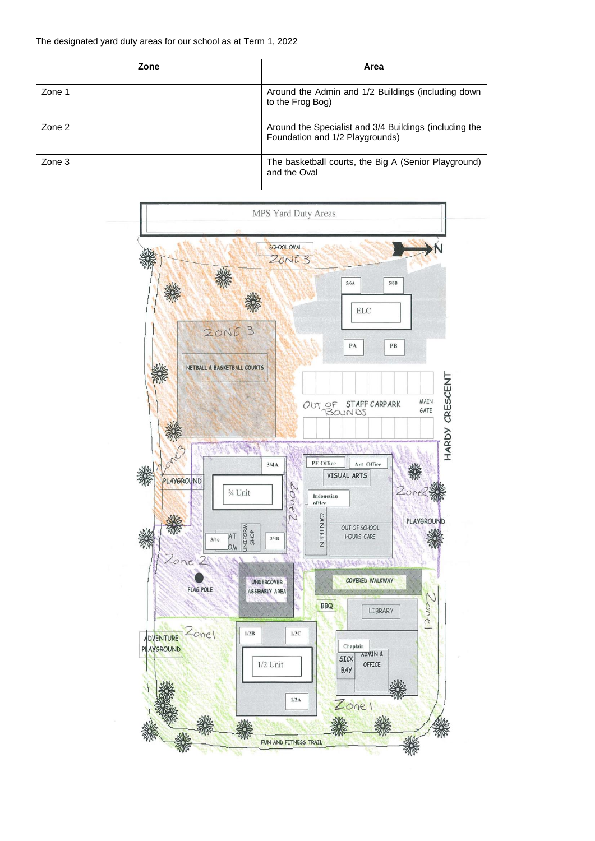| Zone   | Area                                                                                      |
|--------|-------------------------------------------------------------------------------------------|
| Zone 1 | Around the Admin and 1/2 Buildings (including down<br>to the Frog Bog)                    |
| Zone 2 | Around the Specialist and 3/4 Buildings (including the<br>Foundation and 1/2 Playgrounds) |
| Zone 3 | The basketball courts, the Big A (Senior Playground)<br>and the Oval                      |